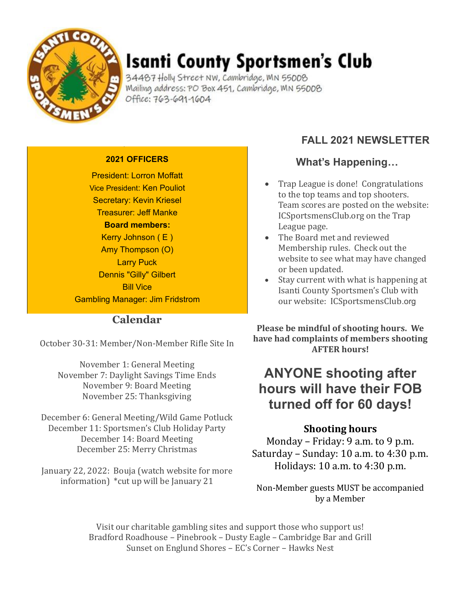

# Isanti County Sportsmen's Club

34487 Holly Street NW, Cambridge, MN 55008 Mailing address: PO Box 451, Cambridge, MN 55008 Office: 763-691-1604

#### **2021 OFFICERS**

President: Lorron Moffatt Vice President: Ken Pouliot Secretary: Kevin Kriesel Treasurer: Jeff Manke **Board members:** Kerry Johnson ( E ) Amy Thompson (O) Larry Puck Dennis "Gilly" Gilbert **Bill Vice** Gambling Manager: Jim Fridstrom

#### **Calendar**

October 30-31: Member/Non-Member Rifle Site In

November 1: General Meeting November 7: Daylight Savings Time Ends November 9: Board Meeting November 25: Thanksgiving

December 6: General Meeting/Wild Game Potluck December 11: Sportsmen's Club Holiday Party December 14: Board Meeting December 25: Merry Christmas

January 22, 2022: Bouja (watch website for more information) \*cut up will be January 21

### **FALL 2021 NEWSLETTER**

#### **What's Happening…**

- Trap League is done! Congratulations to the top teams and top shooters. Team scores are posted on the website: ICSportsmensClub.org on the Trap League page.
- The Board met and reviewed Membership rules. Check out the website to see what may have changed or been updated.
- Stay current with what is happening at Isanti County Sportsmen's Club with our website: ICSportsmensClub.org

**Please be mindful of shooting hours. We have had complaints of members shooting AFTER hours!**

# **ANYONE shooting after hours will have their FOB turned off for 60 days!**

#### **Shooting hours**

Monday – Friday: 9 a.m. to 9 p.m. Saturday – Sunday: 10 a.m. to 4:30 p.m. Holidays: 10 a.m. to 4:30 p.m.

Non-Member guests MUST be accompanied by a Member

Visit our charitable gambling sites and support those who support us! Bradford Roadhouse – Pinebrook – Dusty Eagle – Cambridge Bar and Grill Sunset on Englund Shores – EC's Corner – Hawks Nest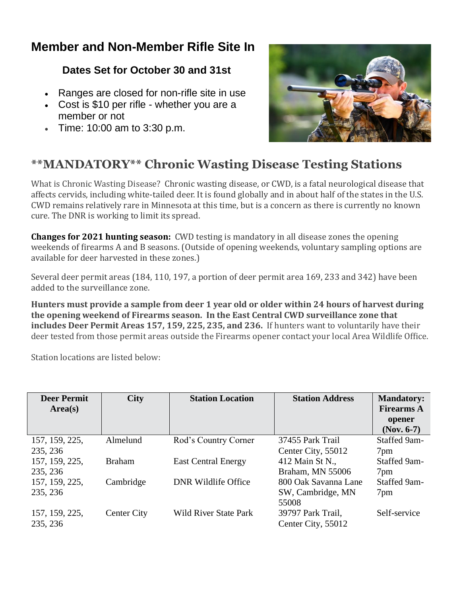### **Member and Non-Member Rifle Site In**

### **Dates Set for October 30 and 31st**

- Ranges are closed for non-rifle site in use
- Cost is \$10 per rifle whether you are a member or not
- Time: 10:00 am to 3:30 p.m.



### **\*\*MANDATORY\*\* Chronic Wasting Disease Testing Stations**

What is Chronic Wasting Disease? Chronic wasting disease, or CWD, is a fatal neurological disease that affects cervids, including white-tailed deer. It is found globally and in about half of the states in the U.S. CWD remains relatively rare in Minnesota at this time, but is a concern as there is currently no known cure. The DNR is working to limit its spread.

**Changes for 2021 hunting season:** CWD testing is mandatory in all disease zones the opening weekends of firearms A and B seasons. (Outside of opening weekends, voluntary sampling options are available for deer harvested in these zones.)

Several deer permit areas (184, 110, 197, a portion of deer permit area 169, 233 and 342) have been added to the surveillance zone.

**Hunters must provide a sample from deer 1 year old or older within 24 hours of harvest during the opening weekend of Firearms season. In the East Central CWD surveillance zone that includes Deer Permit Areas 157, 159, 225, 235, and 236.** If hunters want to voluntarily have their deer tested from those permit areas outside the Firearms opener contact your local Area Wildlife Office.

Station locations are listed below:

| <b>Deer Permit</b><br>Area(s) | <b>City</b>        | <b>Station Location</b>      | <b>Station Address</b> | <b>Mandatory:</b><br><b>Firearms A</b><br>opener<br>$(Nov. 6-7)$ |
|-------------------------------|--------------------|------------------------------|------------------------|------------------------------------------------------------------|
| 157, 159, 225,                | Almelund           | Rod's Country Corner         | 37455 Park Trail       | Staffed 9am-                                                     |
| 235, 236                      |                    |                              | Center City, 55012     | 7pm                                                              |
| 157, 159, 225,                | <b>Braham</b>      | <b>East Central Energy</b>   | 412 Main St N.,        | Staffed 9am-                                                     |
| 235, 236                      |                    |                              | Braham, MN 55006       | 7pm                                                              |
| 157, 159, 225,                | Cambridge          | <b>DNR Wildlife Office</b>   | 800 Oak Savanna Lane   | Staffed 9am-                                                     |
| 235, 236                      |                    |                              | SW, Cambridge, MN      | 7pm                                                              |
|                               |                    |                              | 55008                  |                                                                  |
| 157, 159, 225,                | <b>Center City</b> | <b>Wild River State Park</b> | 39797 Park Trail,      | Self-service                                                     |
| 235, 236                      |                    |                              | Center City, 55012     |                                                                  |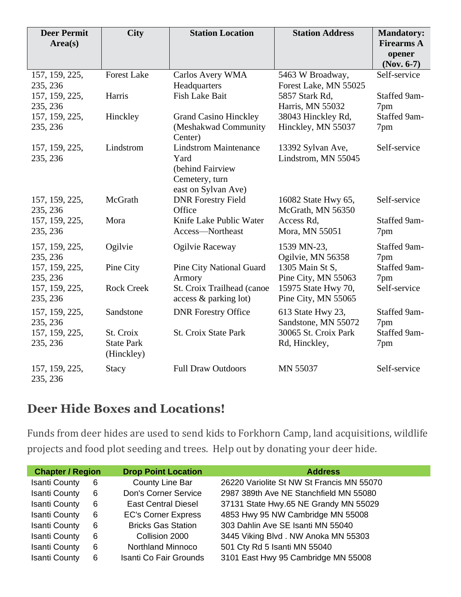| <b>Deer Permit</b><br>Area(s) | <b>City</b>        | <b>Station Location</b>         | <b>Station Address</b> | <b>Mandatory:</b><br><b>Firearms A</b><br>opener<br>$(Nov. 6-7)$ |
|-------------------------------|--------------------|---------------------------------|------------------------|------------------------------------------------------------------|
| 157, 159, 225,                | <b>Forest Lake</b> | Carlos Avery WMA                | 5463 W Broadway,       | Self-service                                                     |
| 235, 236                      |                    | Headquarters                    | Forest Lake, MN 55025  |                                                                  |
| 157, 159, 225,                | Harris             | <b>Fish Lake Bait</b>           | 5857 Stark Rd,         | Staffed 9am-                                                     |
| 235, 236                      |                    |                                 | Harris, MN 55032       | 7pm                                                              |
| 157, 159, 225,                | Hinckley           | <b>Grand Casino Hinckley</b>    | 38043 Hinckley Rd,     | Staffed 9am-                                                     |
| 235, 236                      |                    | (Meshakwad Community            | Hinckley, MN 55037     | 7pm                                                              |
|                               |                    | Center)                         |                        |                                                                  |
| 157, 159, 225,                | Lindstrom          | <b>Lindstrom Maintenance</b>    | 13392 Sylvan Ave,      | Self-service                                                     |
| 235, 236                      |                    | Yard                            | Lindstrom, MN 55045    |                                                                  |
|                               |                    | (behind Fairview                |                        |                                                                  |
|                               |                    | Cemetery, turn                  |                        |                                                                  |
|                               |                    | east on Sylvan Ave)             |                        |                                                                  |
| 157, 159, 225,                | McGrath            | <b>DNR Forestry Field</b>       | 16082 State Hwy 65,    | Self-service                                                     |
| 235, 236                      |                    | Office                          | McGrath, MN 56350      |                                                                  |
| 157, 159, 225,                | Mora               | Knife Lake Public Water         | Access Rd,             | Staffed 9am-                                                     |
| 235, 236                      |                    | Access-Northeast                | Mora, MN 55051         | 7pm                                                              |
| 157, 159, 225,                | Ogilvie            | Ogilvie Raceway                 | 1539 MN-23,            | Staffed 9am-                                                     |
| 235, 236                      |                    |                                 | Ogilvie, MN 56358      | 7pm                                                              |
| 157, 159, 225,                | Pine City          | <b>Pine City National Guard</b> | 1305 Main St S,        | Staffed 9am-                                                     |
| 235, 236                      |                    | Armory                          | Pine City, MN 55063    | 7pm                                                              |
| 157, 159, 225,                | <b>Rock Creek</b>  | St. Croix Trailhead (canoe      | 15975 State Hwy 70,    | Self-service                                                     |
| 235, 236                      |                    | access & parking lot)           | Pine City, MN 55065    |                                                                  |
| 157, 159, 225,                | Sandstone          | <b>DNR Forestry Office</b>      | 613 State Hwy 23,      | Staffed 9am-                                                     |
| 235, 236                      |                    |                                 | Sandstone, MN 55072    | 7pm                                                              |
| 157, 159, 225,                | St. Croix          | <b>St. Croix State Park</b>     | 30065 St. Croix Park   | Staffed 9am-                                                     |
| 235, 236                      | <b>State Park</b>  |                                 | Rd, Hinckley,          | 7pm                                                              |
|                               | (Hinckley)         |                                 |                        |                                                                  |
| 157, 159, 225,                | <b>Stacy</b>       | <b>Full Draw Outdoors</b>       | MN 55037               | Self-service                                                     |
| 235, 236                      |                    |                                 |                        |                                                                  |

## **Deer Hide Boxes and Locations!**

Funds from deer hides are used to send kids to Forkhorn Camp, land acquisitions, wildlife projects and food plot seeding and trees. Help out by donating your deer hide.

| <b>Chapter / Region</b> |   | <b>Drop Point Location</b> | <b>Address</b>                            |
|-------------------------|---|----------------------------|-------------------------------------------|
| <b>Isanti County</b>    | 6 | County Line Bar            | 26220 Variolite St NW St Francis MN 55070 |
| <b>Isanti County</b>    | 6 | Don's Corner Service       | 2987 389th Ave NE Stanchfield MN 55080    |
| <b>Isanti County</b>    | 6 | <b>East Central Diesel</b> | 37131 State Hwy.65 NE Grandy MN 55029     |
| <b>Isanti County</b>    | 6 | <b>EC's Corner Express</b> | 4853 Hwy 95 NW Cambridge MN 55008         |
| <b>Isanti County</b>    | 6 | <b>Bricks Gas Station</b>  | 303 Dahlin Ave SE Isanti MN 55040         |
| <b>Isanti County</b>    | 6 | Collision 2000             | 3445 Viking Blvd. NW Anoka MN 55303       |
| <b>Isanti County</b>    | 6 | <b>Northland Minnoco</b>   | 501 Cty Rd 5 Isanti MN 55040              |
| <b>Isanti County</b>    | 6 | Isanti Co Fair Grounds     | 3101 East Hwy 95 Cambridge MN 55008       |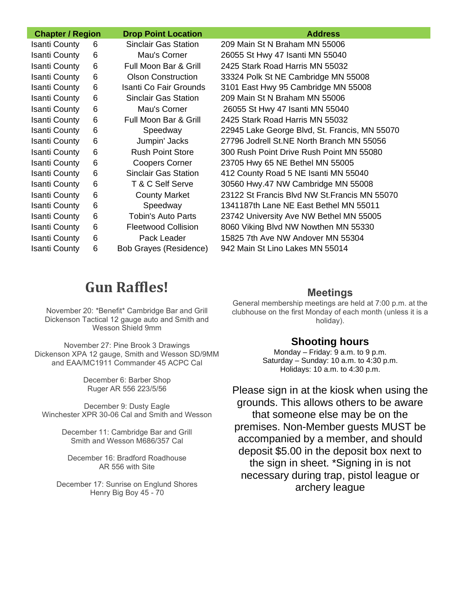| <b>Chapter / Region</b> |   | <b>Drop Point Location</b>    | <b>Address</b>                                |
|-------------------------|---|-------------------------------|-----------------------------------------------|
| <b>Isanti County</b>    | 6 | <b>Sinclair Gas Station</b>   | 209 Main St N Braham MN 55006                 |
| <b>Isanti County</b>    | 6 | Mau's Corner                  | 26055 St Hwy 47 Isanti MN 55040               |
| <b>Isanti County</b>    | 6 | Full Moon Bar & Grill         | 2425 Stark Road Harris MN 55032               |
| <b>Isanti County</b>    | 6 | <b>Olson Construction</b>     | 33324 Polk St NE Cambridge MN 55008           |
| <b>Isanti County</b>    | 6 | Isanti Co Fair Grounds        | 3101 East Hwy 95 Cambridge MN 55008           |
| <b>Isanti County</b>    | 6 | <b>Sinclair Gas Station</b>   | 209 Main St N Braham MN 55006                 |
| <b>Isanti County</b>    | 6 | Mau's Corner                  | 26055 St Hwy 47 Isanti MN 55040               |
| <b>Isanti County</b>    | 6 | Full Moon Bar & Grill         | 2425 Stark Road Harris MN 55032               |
| <b>Isanti County</b>    | 6 | Speedway                      | 22945 Lake George Blvd, St. Francis, MN 55070 |
| <b>Isanti County</b>    | 6 | Jumpin' Jacks                 | 27796 Jodrell St.NE North Branch MN 55056     |
| <b>Isanti County</b>    | 6 | <b>Rush Point Store</b>       | 300 Rush Point Drive Rush Point MN 55080      |
| <b>Isanti County</b>    | 6 | <b>Coopers Corner</b>         | 23705 Hwy 65 NE Bethel MN 55005               |
| <b>Isanti County</b>    | 6 | <b>Sinclair Gas Station</b>   | 412 County Road 5 NE Isanti MN 55040          |
| <b>Isanti County</b>    | 6 | T & C Self Serve              | 30560 Hwy.47 NW Cambridge MN 55008            |
| <b>Isanti County</b>    | 6 | <b>County Market</b>          | 23122 St Francis Blvd NW St. Francis MN 55070 |
| <b>Isanti County</b>    | 6 | Speedway                      | 1341187th Lane NE East Bethel MN 55011        |
| <b>Isanti County</b>    | 6 | Tobin's Auto Parts            | 23742 University Ave NW Bethel MN 55005       |
| <b>Isanti County</b>    | 6 | <b>Fleetwood Collision</b>    | 8060 Viking Blvd NW Nowthen MN 55330          |
| <b>Isanti County</b>    | 6 | Pack Leader                   | 15825 7th Ave NW Andover MN 55304             |
| <b>Isanti County</b>    | 6 | <b>Bob Grayes (Residence)</b> | 942 Main St Lino Lakes MN 55014               |

# **Gun Raffles!**

November 20: \*Benefit\* Cambridge Bar and Grill Dickenson Tactical 12 gauge auto and Smith and Wesson Shield 9mm

November 27: Pine Brook 3 Drawings Dickenson XPA 12 gauge, Smith and Wesson SD/9MM and EAA/MC1911 Commander 45 ACPC Cal

> December 6: Barber Shop Ruger AR 556 223/5/56

December 9: Dusty Eagle Winchester XPR 30-06 Cal and Smith and Wesson

> December 11: Cambridge Bar and Grill Smith and Wesson M686/357 Cal

December 16: Bradford Roadhouse AR 556 with Site

December 17: Sunrise on Englund Shores Henry Big Boy 45 - 70

#### **Meetings**

General membership meetings are held at 7:00 p.m. at the clubhouse on the first Monday of each month (unless it is a holiday).

#### **Shooting hours**

Monday – Friday: 9 a.m. to 9 p.m. Saturday – Sunday: 10 a.m. to 4:30 p.m. Holidays: 10 a.m. to 4:30 p.m.

Please sign in at the kiosk when using the grounds. This allows others to be aware that someone else may be on the premises. Non-Member guests MUST be accompanied by a member, and should deposit \$5.00 in the deposit box next to the sign in sheet. \*Signing in is not necessary during trap, pistol league or archery league